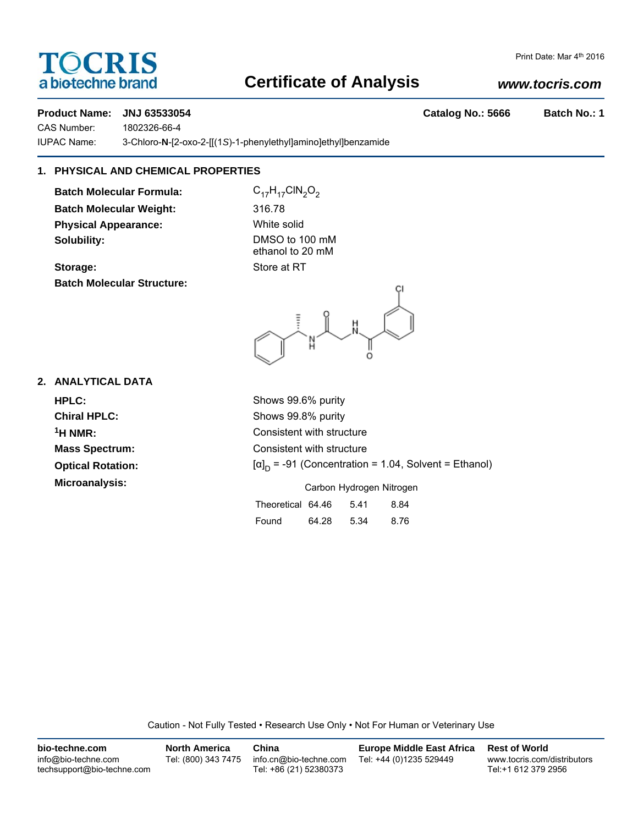# TOCRIS a biotechne brand

### Print Date: Mar 4th 2016

# **Certificate of Analysis**

## *www.tocris.com*

### **Product Name: JNJ 63533054 Catalog No.: 5666 Batch No.: 1**

CAS Number: 1802326-66-4

IUPAC Name: 3-Chloro-**N**-[2-oxo-2-[[(1*S*)-1-phenylethyl]amino]ethyl]benzamide

## **1. PHYSICAL AND CHEMICAL PROPERTIES**

**Batch Molecular Formula:** C<sub>17</sub>H<sub>17</sub>ClN<sub>2</sub>O<sub>2</sub> **Batch Molecular Weight:** 316.78 **Physical Appearance:** White solid **Solubility:** DMSO to 100 mM

**Batch Molecular Structure:**

ethanol to 20 mM **Storage:** Store at RT

К.

### **2. ANALYTICAL DATA**

**Optical Rotation:** 

**HPLC:** Shows 99.6% purity **Chiral HPLC:** Shows 99.8% purity **1H NMR:** Consistent with structure **Mass Spectrum:** Consistent with structure  $[\alpha]_D$  = -91 (Concentration = 1.04, Solvent = Ethanol) **Microanalysis:** Carbon Hydrogen Nitrogen Theoretical 64.46 5.41 8.84

Found 64.28 5.34 8.76

Caution - Not Fully Tested • Research Use Only • Not For Human or Veterinary Use

| bio-techne.com                                    | <b>North America</b> | China                                            | <b>Europe Middle East Africa</b> | <b>Rest of World</b>                               |
|---------------------------------------------------|----------------------|--------------------------------------------------|----------------------------------|----------------------------------------------------|
| info@bio-techne.com<br>techsupport@bio-techne.com | Tel: (800) 343 7475  | info.cn@bio-techne.com<br>Tel: +86 (21) 52380373 | Tel: +44 (0)1235 529449          | www.tocris.com/distributors<br>Tel:+1 612 379 2956 |